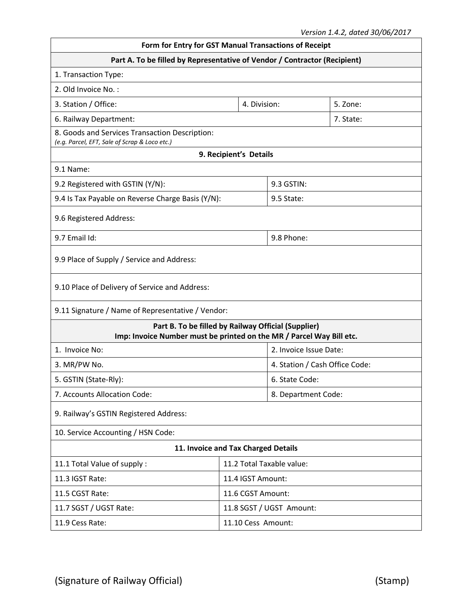| Form for Entry for GST Manual Transactions of Receipt                                                                       |                           |                                |           |  |  |  |  |
|-----------------------------------------------------------------------------------------------------------------------------|---------------------------|--------------------------------|-----------|--|--|--|--|
| Part A. To be filled by Representative of Vendor / Contractor (Recipient)                                                   |                           |                                |           |  |  |  |  |
| 1. Transaction Type:                                                                                                        |                           |                                |           |  |  |  |  |
| 2. Old Invoice No.:                                                                                                         |                           |                                |           |  |  |  |  |
| 3. Station / Office:<br>4. Division:<br>5. Zone:                                                                            |                           |                                |           |  |  |  |  |
| 6. Railway Department:                                                                                                      |                           |                                | 7. State: |  |  |  |  |
| 8. Goods and Services Transaction Description:<br>(e.g. Parcel, EFT, Sale of Scrap & Loco etc.)                             |                           |                                |           |  |  |  |  |
|                                                                                                                             | 9. Recipient's Details    |                                |           |  |  |  |  |
| 9.1 Name:                                                                                                                   |                           |                                |           |  |  |  |  |
| 9.2 Registered with GSTIN (Y/N):                                                                                            |                           | 9.3 GSTIN:                     |           |  |  |  |  |
| 9.4 Is Tax Payable on Reverse Charge Basis (Y/N):                                                                           |                           | 9.5 State:                     |           |  |  |  |  |
| 9.6 Registered Address:                                                                                                     |                           |                                |           |  |  |  |  |
| 9.7 Email Id:                                                                                                               |                           | 9.8 Phone:                     |           |  |  |  |  |
| 9.9 Place of Supply / Service and Address:                                                                                  |                           |                                |           |  |  |  |  |
| 9.10 Place of Delivery of Service and Address:                                                                              |                           |                                |           |  |  |  |  |
| 9.11 Signature / Name of Representative / Vendor:                                                                           |                           |                                |           |  |  |  |  |
| Part B. To be filled by Railway Official (Supplier)<br>Imp: Invoice Number must be printed on the MR / Parcel Way Bill etc. |                           |                                |           |  |  |  |  |
| 1. Invoice No:                                                                                                              | 2. Invoice Issue Date:    |                                |           |  |  |  |  |
| 3. MR/PW No.                                                                                                                |                           | 4. Station / Cash Office Code: |           |  |  |  |  |
| 5. GSTIN (State-Rly):                                                                                                       | 6. State Code:            |                                |           |  |  |  |  |
| 7. Accounts Allocation Code:                                                                                                | 8. Department Code:       |                                |           |  |  |  |  |
| 9. Railway's GSTIN Registered Address:                                                                                      |                           |                                |           |  |  |  |  |
| 10. Service Accounting / HSN Code:                                                                                          |                           |                                |           |  |  |  |  |
| 11. Invoice and Tax Charged Details                                                                                         |                           |                                |           |  |  |  |  |
| 11.1 Total Value of supply:                                                                                                 | 11.2 Total Taxable value: |                                |           |  |  |  |  |
| 11.3 IGST Rate:                                                                                                             | 11.4 IGST Amount:         |                                |           |  |  |  |  |
| 11.5 CGST Rate:                                                                                                             | 11.6 CGST Amount:         |                                |           |  |  |  |  |
| 11.7 SGST / UGST Rate:<br>11.8 SGST / UGST Amount:                                                                          |                           |                                |           |  |  |  |  |
| 11.9 Cess Rate:<br>11.10 Cess Amount:                                                                                       |                           |                                |           |  |  |  |  |